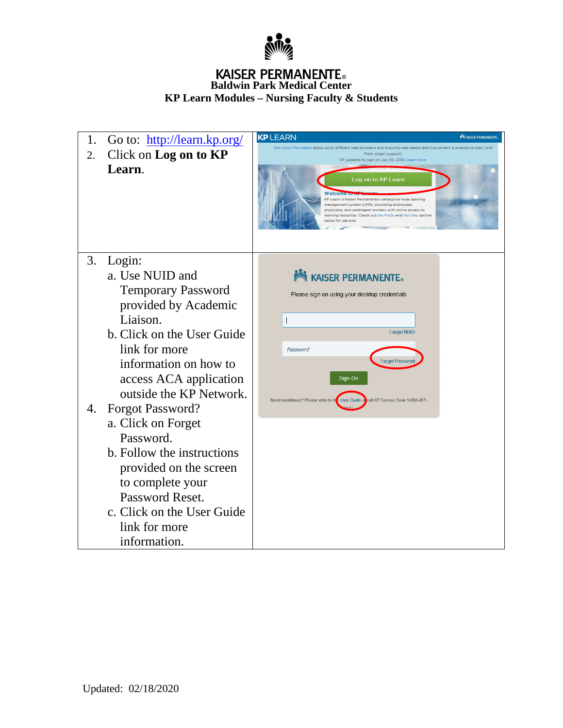

# **KAISER PERMANENTE**<sub>®</sub><br>Baldwin Park Medical Center **KP Learn Modules – Nursing Faculty & Students**

| 1. | Go to: http://learn.kp.org/ | <b>KPLEARN</b><br><b>MA KAISER PERMANENTE.</b>                                                                                                                                                                                                                                   |
|----|-----------------------------|----------------------------------------------------------------------------------------------------------------------------------------------------------------------------------------------------------------------------------------------------------------------------------|
| 2. | Click on Log on to KP       | Get more information about using different web browsers and ensuring web-based learning content is enabled to play (with<br>Flash plugin support)<br>KP updated its sign-on July 30, 2018. Learn more                                                                            |
|    | Learn.                      | Log on to KP Learn<br>KP Learn is Kaiser Permanente's enterprise-wide learning<br>management system (LMS), providing employees,<br>physicians, and contingent workers with online access to<br>learning resources. Check out the FAQs and Get help section<br>below for job aids |
| 3. | Login:                      |                                                                                                                                                                                                                                                                                  |
|    | a. Use NUID and             | <b>No. 49</b> KAISER PERMANENTE.                                                                                                                                                                                                                                                 |
|    | <b>Temporary Password</b>   | Please sign on using your desktop credentials                                                                                                                                                                                                                                    |
|    | provided by Academic        |                                                                                                                                                                                                                                                                                  |
|    | Liaison.                    |                                                                                                                                                                                                                                                                                  |
|    | b. Click on the User Guide  | <b>Forgot NUID</b>                                                                                                                                                                                                                                                               |
|    | link for more               | Password                                                                                                                                                                                                                                                                         |
|    | information on how to       | Forgot Passwor                                                                                                                                                                                                                                                                   |
|    | access ACA application      | Sign On                                                                                                                                                                                                                                                                          |
|    | outside the KP Network.     | User Guide o<br>call KP Service Desk 1-888-457-<br>Need assistance? Please refer to th                                                                                                                                                                                           |
| 4. | <b>Forgot Password?</b>     |                                                                                                                                                                                                                                                                                  |
|    | a. Click on Forget          |                                                                                                                                                                                                                                                                                  |
|    | Password.                   |                                                                                                                                                                                                                                                                                  |
|    | b. Follow the instructions  |                                                                                                                                                                                                                                                                                  |
|    | provided on the screen      |                                                                                                                                                                                                                                                                                  |
|    | to complete your            |                                                                                                                                                                                                                                                                                  |
|    | Password Reset.             |                                                                                                                                                                                                                                                                                  |
|    | c. Click on the User Guide  |                                                                                                                                                                                                                                                                                  |
|    | link for more               |                                                                                                                                                                                                                                                                                  |
|    | information.                |                                                                                                                                                                                                                                                                                  |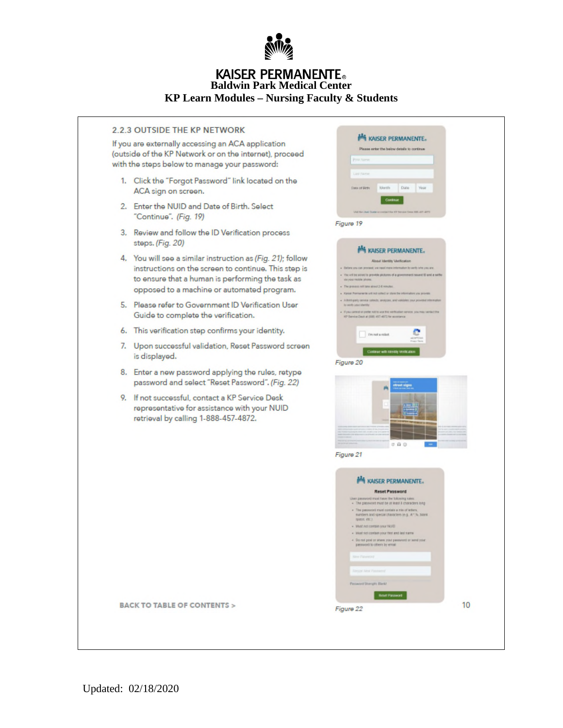

### **KAISER PERMANENTE. Baldwin Park Medical Center KP Learn Modules - Nursing Faculty & Students**

| 2.2.3 OUTSIDE THE KP NETWORK |
|------------------------------|
|------------------------------|

If you are externally accessing an ACA application (outside of the KP Network or on the internet), proceed with the steps below to manage your password:

- 1. Click the "Forgot Password" link located on the ACA sign on screen.
- 2. Enter the NUID and Date of Birth. Select "Continue". (Fig. 19)
- 3. Review and follow the ID Verification process steps. (Fig. 20)
- 4. You will see a similar instruction as (Fig. 21); follow instructions on the screen to continue. This step is to ensure that a human is performing the task as opposed to a machine or automated program.
- 5. Please refer to Government ID Verification User Guide to complete the verification.
- 6. This verification step confirms your identity.
- 7. Upon successful validation, Reset Password screen is displayed.
- 8. Enter a new password applying the rules, retype password and select "Reset Password". (Fig. 22)
- 9. If not successful, contact a KP Service Desk representative for assistance with your NUID retrieval by calling 1-888-457-4872.

|                                                                                                                   | KAISER PERMANENTE.<br>Please order the balow details to continue.                 |  |
|-------------------------------------------------------------------------------------------------------------------|-----------------------------------------------------------------------------------|--|
| <b>Parts North</b>                                                                                                |                                                                                   |  |
|                                                                                                                   |                                                                                   |  |
| Last ra                                                                                                           |                                                                                   |  |
| Month.<br>Date of Birth                                                                                           | Date<br>Yest                                                                      |  |
|                                                                                                                   | Continue                                                                          |  |
|                                                                                                                   | (In 12 heart lies 120 art 417)                                                    |  |
| Figure 19                                                                                                         |                                                                                   |  |
|                                                                                                                   |                                                                                   |  |
|                                                                                                                   | <b>MAISER PERMANENTE.</b>                                                         |  |
|                                                                                                                   | <b>About Identity Ventcation</b>                                                  |  |
|                                                                                                                   | . Deters us can precent, we need more information to verify idne you are.         |  |
| via you mobile phone.                                                                                             | You will be acuer to provide proters of a government issued 10 and a selfy.       |  |
| + The prevent net take about 2-6 minutes<br>. Karian Permianante unti not collect or store the informators you go |                                                                                   |  |
|                                                                                                                   | . A thrid-party serious satiscits, amalyzes, and validates your provided informat |  |
| to verify your identity.                                                                                          | . If you cannot or prefer will be any this werthinker service, you may sented the |  |
| HP Service Deck at (698) 457-4672 for economics                                                                   |                                                                                   |  |
| t'm not a robot                                                                                                   |                                                                                   |  |
|                                                                                                                   |                                                                                   |  |
|                                                                                                                   | Continue with kinstity Ventical                                                   |  |
| Figure 20                                                                                                         |                                                                                   |  |
|                                                                                                                   |                                                                                   |  |
|                                                                                                                   | truet.signs                                                                       |  |
|                                                                                                                   | 0.9.0                                                                             |  |
|                                                                                                                   |                                                                                   |  |
|                                                                                                                   |                                                                                   |  |
|                                                                                                                   |                                                                                   |  |
|                                                                                                                   | <b>MA KAISER PERMANENTE.</b>                                                      |  |
|                                                                                                                   | Reset Password                                                                    |  |
| User password must have the following rales.                                                                      | . The password must be at least il characters long                                |  |
| · The password must contain a mix of letters.                                                                     |                                                                                   |  |
| space, etc.)                                                                                                      | manders and special characters (e.g., it *.%, blank                               |  |
| . Must not contain your NUE<br>Must not contain your first and last name                                          |                                                                                   |  |
| password to others by email                                                                                       | + Disred post or snew your passwerd or send your                                  |  |
| <b>Mirry Pilgrencery</b>                                                                                          |                                                                                   |  |
|                                                                                                                   |                                                                                   |  |
| <b>Firmini New Par</b>                                                                                            |                                                                                   |  |
| Figure 21<br>Password Shength: Blank!                                                                             | <b>Best Passed</b>                                                                |  |

Updated: 02/18/2020

**BACK TO TABLE OF CONTENTS >**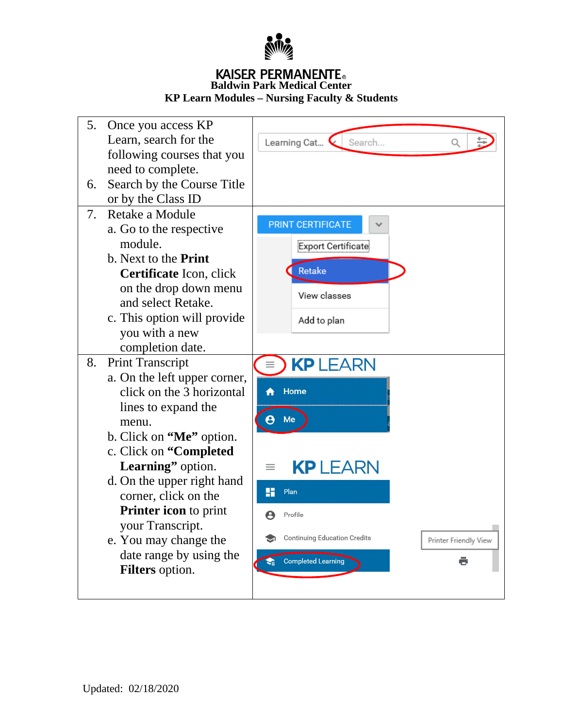

# KAISER PERMANENTE. **Baldwin Park Medical Center**